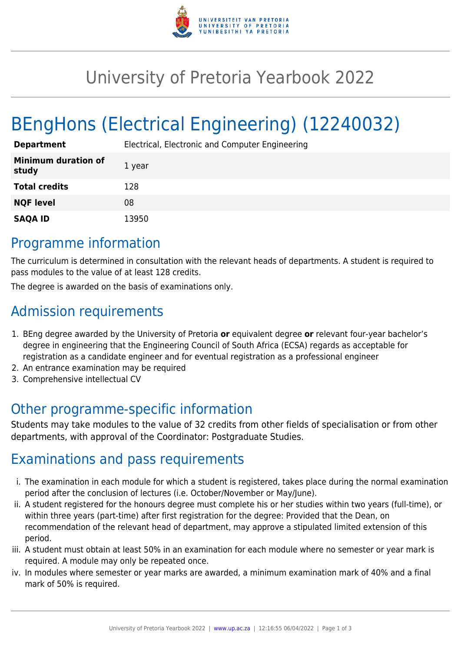

## University of Pretoria Yearbook 2022

# BEngHons (Electrical Engineering) (12240032)

| <b>Department</b>                   | Electrical, Electronic and Computer Engineering |
|-------------------------------------|-------------------------------------------------|
| <b>Minimum duration of</b><br>study | 1 year                                          |
| <b>Total credits</b>                | 128                                             |
| <b>NQF level</b>                    | 08                                              |
| <b>SAQA ID</b>                      | 13950                                           |

#### Programme information

The curriculum is determined in consultation with the relevant heads of departments. A student is required to pass modules to the value of at least 128 credits.

The degree is awarded on the basis of examinations only.

## Admission requirements

- 1. BEng degree awarded by the University of Pretoria **or** equivalent degree **or** relevant four-year bachelor's degree in engineering that the Engineering Council of South Africa (ECSA) regards as acceptable for registration as a candidate engineer and for eventual registration as a professional engineer
- 2. An entrance examination may be required
- 3. Comprehensive intellectual CV

## Other programme-specific information

Students may take modules to the value of 32 credits from other fields of specialisation or from other departments, with approval of the Coordinator: Postgraduate Studies.

#### Examinations and pass requirements

- i. The examination in each module for which a student is registered, takes place during the normal examination period after the conclusion of lectures (i.e. October/November or May/June).
- ii. A student registered for the honours degree must complete his or her studies within two years (full-time), or within three years (part-time) after first registration for the degree: Provided that the Dean, on recommendation of the relevant head of department, may approve a stipulated limited extension of this period.
- iii. A student must obtain at least 50% in an examination for each module where no semester or year mark is required. A module may only be repeated once.
- iv. In modules where semester or year marks are awarded, a minimum examination mark of 40% and a final mark of 50% is required.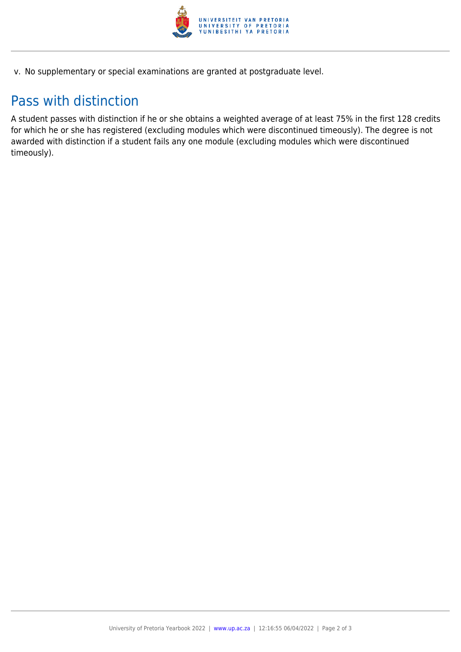

v. No supplementary or special examinations are granted at postgraduate level.

### Pass with distinction

A student passes with distinction if he or she obtains a weighted average of at least 75% in the first 128 credits for which he or she has registered (excluding modules which were discontinued timeously). The degree is not awarded with distinction if a student fails any one module (excluding modules which were discontinued timeously).